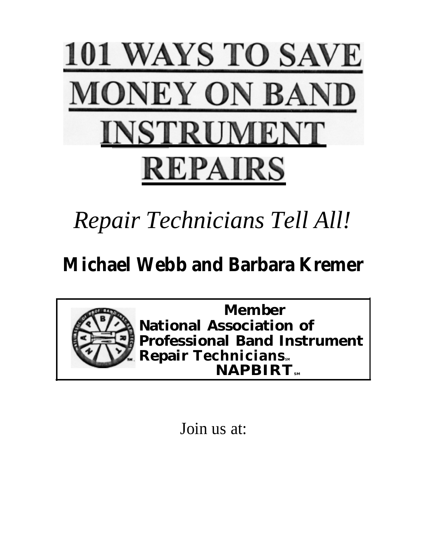

# *Repair Technicians Tell All!*

# **Michael Webb and Barbara Kremer**



Join us at: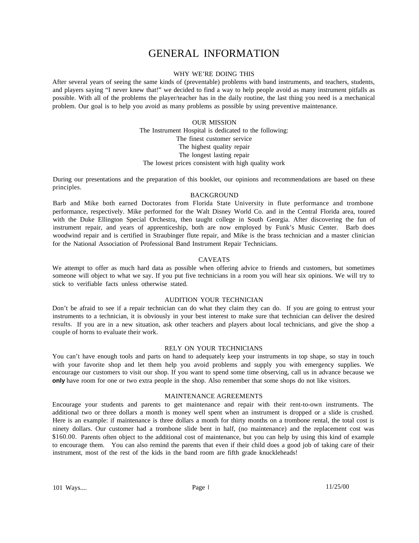## GENERAL INFORMATION

#### WHY WE'RE DOING THIS

After several years of seeing the same kinds of (preventable) problems with band instruments, and teachers, students, and players saying "I never knew that!" we decided to find a way to help people avoid as many instrument pitfalls as possible. With all of the problems the player/teacher has in the daily routine, the last thing you need is a mechanical problem. Our goal is to help you avoid as many problems as possible by using preventive maintenance.

#### OUR MISSION

The Instrument Hospital is dedicated to the following: The finest customer service The highest quality repair The longest lasting repair

The lowest prices consistent with high quality work

During our presentations and the preparation of this booklet, our opinions and recommendations are based on these principles.

#### BACKGROUND

Barb and Mike both earned Doctorates from Florida State University in flute performance and trombone performance, respectively. Mike performed for the Walt Disney World Co. and in the Central Florida area, toured with the Duke Ellington Special Orchestra, then taught college in South Georgia. After discovering the fun of instrument repair, and years of apprenticeship, both are now employed by Funk's Music Center. Barb does woodwind repair and is certified in Straubinger flute repair, and Mike is the brass technician and a master clinician for the National Association of Professional Band Instrument Repair Technicians.

#### CAVEATS

We attempt to offer as much hard data as possible when offering advice to friends and customers, but sometimes someone will object to what we say. If you put five technicians in a room you will hear six opinions. We will try to stick to verifiable facts unless otherwise stated.

#### AUDITION YOUR TECHNICIAN

Don't be afraid to see if a repair technician can do what they claim they can do. If you are going to entrust your instruments to a technician, it is obviously in your best interest to make sure that technician can deliver the desired results. If you are in a new situation, ask other teachers and players about local technicians, and give the shop a couple of horns to evaluate their work.

#### RELY ON YOUR TECHNICIANS

You can't have enough tools and parts on hand to adequately keep your instruments in top shape, so stay in touch with your favorite shop and let them help you avoid problems and supply you with emergency supplies. We encourage our customers to visit our shop. If you want to spend some time observing, call us in advance because we **only** have room for one or two extra people in the shop. Also remember that some shops do not like visitors.

#### MAINTENANCE AGREEMENTS

Encourage your students and parents to get maintenance and repair with their rent-to-own instruments. The additional two or three dollars a month is money well spent when an instrument is dropped or a slide is crushed. Here is an example: if maintenance is three dollars a month for thirty months on a trombone rental, the total cost is ninety dollars. Our customer had a trombone slide bent in half, (no maintenance) and the replacement cost was \$160.00. Parents often object to the additional cost of maintenance, but you can help by using this kind of example to encourage them. You can also remind the parents that even if their child does a good job of taking care of their instrument, most of the rest of the kids in the band room are fifth grade knuckleheads!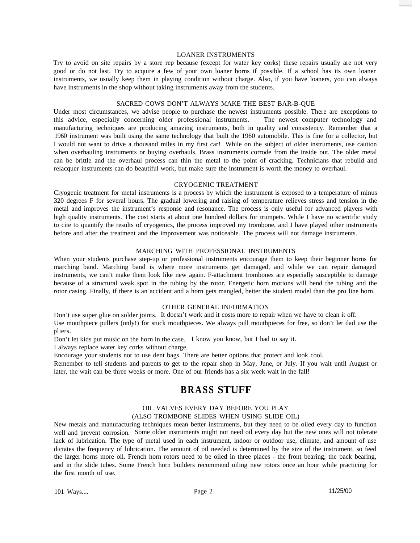#### LOANER INSTRUMENTS

Try to avoid on site repairs by a store rep because (except for water key corks) these repairs usually are not very good or do not last. Try to acquire a few of your own loaner horns if possible. If a school has its own loaner instruments, we usually keep them in playing condition without charge. Also, if you have loaners, you can always have instruments in the shop without taking instruments away from the students.

#### SACRED COWS DON'T ALWAYS MAKE THE BEST BAR-B-QUE

Under most circumstances, we advise people to purchase the newest instruments possible. There are exceptions to this advice, especially concerning older professional instruments. The newest computer technology and manufacturing techniques are producing amazing instruments, both in quality and consistency. Remember that a 1960 instrument was built using the same technology that built the 1960 automobile. This is fine for a collector, but I would not want to drive a thousand miles in my first car! While on the subject of older instruments, use caution when overhauling instruments or buying overhauls. Brass instruments corrode from the inside out. The older metal can be brittle and the overhaul process can thin the metal to the point of cracking. Technicians that rebuild and relacquer instruments can do beautiful work, but make sure the instrument is worth the money to overhaul.

#### CRYOGENIC TREATMENT

Cryogenic treatment for metal instruments is a process by which the instrument is exposed to a temperature of minus 320 degrees F for several hours. The gradual lowering and raising of temperature relieves stress and tension in the metal and improves the instrument's response and resonance. The process is only useful for advanced players with high quality instruments. The cost starts at about one hundred dollars for trumpets. While I have no scientific study to cite to quantify the results of cryogenics, the process improved my trombone, and I have played other instruments before and after the treatment and the improvement was noticeable. The process will not damage instruments.

#### MARCHING WITH PROFESSIONAL INSTRUMENTS

When your students purchase step-up or professional instruments encourage them to keep their beginner horns for marching band. Marching band is where more instruments get damaged, and while we can repair damaged instruments, we can't make them look like new again. F-attachment trombones are especially susceptible to damage because of a structural weak spot in the tubing by the rotor. Energetic horn motions will bend the tubing and the rotor casing. Finally, if there is an accident and a horn gets mangled, better the student model than the pro line horn.

#### OTHER GENERAL INFORMATION

Don't use super glue on solder joints. It doesn't work and it costs more to repair when we have to clean it off. Use mouthpiece pullers (only!) for stuck mouthpieces. We always pull mouthpieces for free, so don't let dad use the pliers.

Don't let kids put music on the horn in the case. I know you know, but I had to say it.

I always replace water key corks without charge.

Encourage your students not to use dent bags. There are better options that protect and look cool.

Remember to tell students and parents to get to the repair shop in May, June, or July. If you wait until August or later, the wait can be three weeks or more. One of our friends has a six week wait in the fall!

### **BRASS STUFF**

#### OIL VALVES EVERY DAY BEFORE YOU PLAY (ALSO TROMBONE SLIDES WHEN USING SLIDE OIL)

New metals and manufacturing techniques mean better instruments, but they need to be oiled every day to function well and prevent corrosion. Some older instruments might not need oil every day but the new ones will not tolerate lack of lubrication. The type of metal used in each instrument, indoor or outdoor use, climate, and amount of use dictates the frequency of lubrication. The amount of oil needed is determined by the size of the instrument, so feed the larger horns more oil. French horn rotors need to be oiled in three places - the front bearing, the back bearing, and in the slide tubes. Some French horn builders recommend oiling new rotors once an hour while practicing for the first month of use.

101 Ways.... Page 2 11/25/00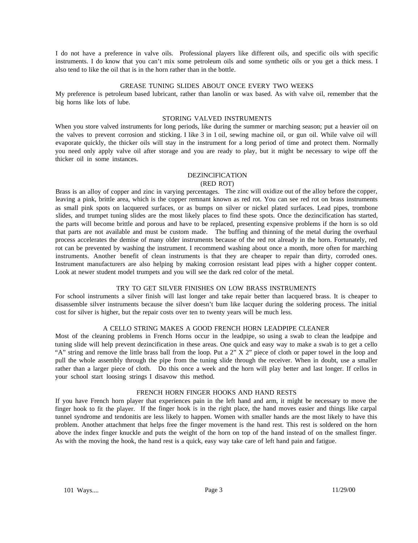I do not have a preference in valve oils. Professional players like different oils, and specific oils with specific instruments. I do know that you can't mix some petroleum oils and some synthetic oils or you get a thick mess. I also tend to like the oil that is in the horn rather than in the bottle.

#### GREASE TUNING SLIDES ABOUT ONCE EVERY TWO WEEKS

My preference is petroleum based lubricant, rather than lanolin or wax based. As with valve oil, remember that the big horns like lots of lube.

#### STORING VALVED INSTRUMENTS

When you store valved instruments for long periods, like during the summer or marching season; put a heavier oil on the valves to prevent corrosion and sticking. I like 3 in 1 oil, sewing machine oil, or gun oil. While valve oil will evaporate quickly, the thicker oils will stay in the instrument for a long period of time and protect them. Normally you need only apply valve oil after storage and you are ready to play, but it might be necessary to wipe off the thicker oil in some instances.

#### DEZlNClFlCATlON

#### (RED ROT)

Brass is an alloy of copper and zinc in varying percentages. The zinc will oxidize out of the alloy before the copper, leaving a pink, brittle area, which is the copper remnant known as red rot. You can see red rot on brass instruments as small pink spots on lacquered surfaces, or as bumps on silver or nickel plated surfaces. Lead pipes, trombone slides, and trumpet tuning slides are the most likely places to find these spots. Once the dezincification has started, the parts will become brittle and porous and have to be replaced, presenting expensive problems if the horn is so old that parts are not available and must be custom made. The buffing and thinning of the metal during the overhaul process accelerates the demise of many older instruments because of the red rot already in the horn. Fortunately, red rot can be prevented by washing the instrument. I recommend washing about once a month, more often for marching instruments. Another benefit of clean instruments is that they are cheaper to repair than dirty, corroded ones. Instrument manufacturers are also helping by making corrosion resistant lead pipes with a higher copper content. Look at newer student model trumpets and you will see the dark red color of the metal.

#### TRY TO GET SILVER FINISHES ON LOW BRASS INSTRUMENTS

For school instruments a silver finish will last longer and take repair better than lacquered brass. It is cheaper to disassemble silver instruments because the silver doesn't bum like lacquer during the soldering process. The initial cost for silver is higher, but the repair costs over ten to twenty years will be much less.

#### A CELLO STRING MAKES A GOOD FRENCH HORN LEADPIPE CLEANER

Most of the cleaning problems in French Horns occur in the leadpipe, so using a swab to clean the leadpipe and tuning slide will help prevent dezincification in these areas. One quick and easy way to make a swab is to get a cello "A" string and remove the little brass ball from the loop. Put a 2" X 2" piece of cloth or paper towel in the loop and pull the whole assembly through the pipe from the tuning slide through the receiver. When in doubt, use a smaller rather than a larger piece of cloth. Do this once a week and the horn will play better and last longer. If cellos in your school start loosing strings I disavow this method.

#### FRENCH HORN FINGER HOOKS AND HAND RESTS

If you have French horn player that experiences pain in the left hand and arm, it might be necessary to move the finger hook to fit the player. If the finger hook is in the right place, the hand moves easier and things like carpal tunnel syndrome and tendonitis are less likely to happen. Women with smaller hands are the most likely to have this problem. Another attachment that helps free the finger movement is the hand rest. This rest is soldered on the horn above the index finger knuckle and puts the weight of the horn on top of the hand instead of on the smallest finger. As with the moving the hook, the hand rest is a quick, easy way take care of left hand pain and fatigue.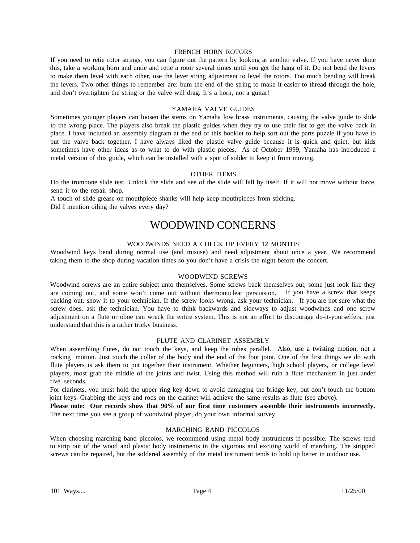#### FRENCH HORN ROTORS

If you need to retie rotor strings, you can figure out the pattern by looking at another valve. If you have never done this, take a working horn and untie and retie a rotor several times until you get the hang of it. Do not bend the levers to make them level with each other, use the lever string adjustment to level the rotors. Too much bending will break the levers. Two other things to remember are: bum the end of the string to make it easier to thread through the hole, and don't overtighten the string or the valve will drag. It's a horn, not a guitar!

#### YAMAHA VALVE GUIDES

Sometimes younger players can loosen the stems on Yamaha low brass instruments, causing the valve guide to slide to the wrong place. The players also break the plastic guides when they try to use their fist to get the valve back in place. I have included an assembly diagram at the end of this booklet to help sort out the parts puzzle if you have to put the valve back together. I have always liked the plastic valve guide because it is quick and quiet, but kids sometimes have other ideas as to what to do with plastic pieces. As of October 1999, Yamaha has introduced a metal version of this guide, which can be installed with a spot of solder to keep it from moving.

#### OTHER ITEMS

Do the trombone slide test. Unlock the slide and see of the slide will fall by itself. If it will not move without force, send it to the repair shop.

A touch of slide grease on mouthpiece shanks will help keep mouthpieces from sticking. Did I mention oiling the valves every day?

### WOODWIND CONCERNS

#### WOODWINDS NEED A CHECK UP EVERY 12 MONTHS

Woodwind keys bend during normal use (and misuse) and need adjustment about once a year. We recommend taking them to the shop during vacation times so you don't have a crisis the night before the concert.

#### WOODWIND SCREWS

Woodwind screws are an entire subject unto themselves. Some screws back themselves out, some just look like they are coming out, and some won't come out without thermonuclear persuasion. If you have a screw that keeps backing out, show it to your technician. If the screw looks wrong, ask your technician. If you are not sure what the screw does, ask the technician. You have to think backwards and sideways to adjust woodwinds and one screw adjustment on a flute or oboe can wreck the entire system. This is not an effort to discourage do-it-yourselfers, just understand that this is a rather tricky business.

#### FLUTE AND CLARINET ASSEMBLY

When assembling flutes, do not touch the keys, and keep the tubes parallel. Also, use a twisting motion, not a rocking motion. Just touch the collar of the body and the end of the foot joint. One of the first things we do with flute players is ask them to put together their instrument. Whether beginners, high school players, or college level players, most grab the middle of the joints and twist. Using this method will ruin a flute mechanism in just under five seconds.

For clarinets, you must hold the upper ring key down to avoid damaging the bridge key, but don't touch the bottom joint keys. Grabbing the keys and rods on the clarinet will achieve the same results as flute (see above).

**Please note: Our records show that 90% of our first time customers assemble their instruments incorrectly.** The next time you see a group of woodwind player, do your own informal survey.

#### MARCHING BAND PICCOLOS

When choosing marching band piccolos, we recommend using metal body instruments if possible. The screws tend to strip out of the wood and plastic body instruments in the vigorous and exciting world of marching. The stripped screws can be repaired, but the soldered assembly of the metal instrument tends to hold up better in outdoor use.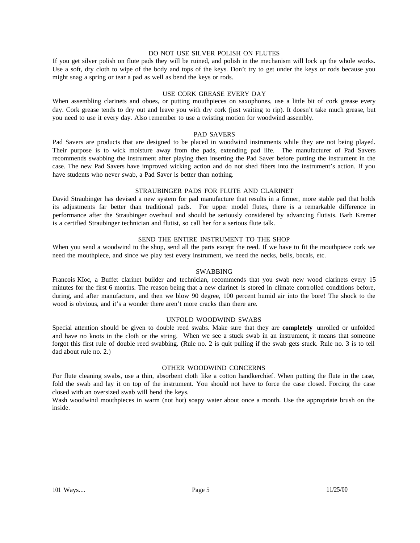#### DO NOT USE SILVER POLISH ON FLUTES

If you get silver polish on flute pads they will be ruined, and polish in the mechanism will lock up the whole works. Use a soft, dry cloth to wipe of the body and tops of the keys. Don't try to get under the keys or rods because you might snag a spring or tear a pad as well as bend the keys or rods.

#### USE CORK GREASE EVERY DAY

When assembling clarinets and oboes, or putting mouthpieces on saxophones, use a little bit of cork grease every day. Cork grease tends to dry out and leave you with dry cork (just waiting to rip). It doesn't take much grease, but you need to use it every day. Also remember to use a twisting motion for woodwind assembly.

#### PAD SAVERS

Pad Savers are products that are designed to be placed in woodwind instruments while they are not being played. Their purpose is to wick moisture away from the pads, extending pad life. The manufacturer of Pad Savers recommends swabbing the instrument after playing then inserting the Pad Saver before putting the instrument in the case. The new Pad Savers have improved wicking action and do not shed fibers into the instrument's action. If you have students who never swab, a Pad Saver is better than nothing.

#### STRAUBINGER PADS FOR FLUTE AND CLARINET

David Straubinger has devised a new system for pad manufacture that results in a firmer, more stable pad that holds its adjustments far better than traditional pads. For upper model flutes, there is a remarkable difference in performance after the Straubinger overhaul and should be seriously considered by advancing flutists. Barb Kremer is a certified Straubinger technician and flutist, so call her for a serious flute talk.

#### SEND THE ENTIRE INSTRUMENT TO THE SHOP

When you send a woodwind to the shop, send all the parts except the reed. If we have to fit the mouthpiece cork we need the mouthpiece, and since we play test every instrument, we need the necks, bells, bocals, etc.

#### SWABBING

Francois KIoc, a Buffet clarinet builder and technician, recommends that you swab new wood clarinets every 15 minutes for the first 6 months. The reason being that a new clarinet is stored in climate controlled conditions before, during, and after manufacture, and then we blow 90 degree, 100 percent humid air into the bore! The shock to the wood is obvious, and it's a wonder there aren't more cracks than there are.

#### UNFOLD WOODWIND SWABS

Special attention should be given to double reed swabs. Make sure that they are **completely** unrolled or unfolded and have no knots in the cloth or the string. When we see a stuck swab in an instrument, it means that someone forgot this first rule of double reed swabbing. (Rule no. 2 is quit pulling if the swab gets stuck. Rule no. 3 is to tell dad about rule no. 2.)

#### OTHER WOODWIND CONCERNS

For flute cleaning swabs, use a thin, absorbent cloth like a cotton handkerchief. When putting the flute in the case, fold the swab and lay it on top of the instrument. You should not have to force the case closed. Forcing the case closed with an oversized swab will bend the keys.

Wash woodwind mouthpieces in warm (not hot) soapy water about once a month. Use the appropriate brush on the inside.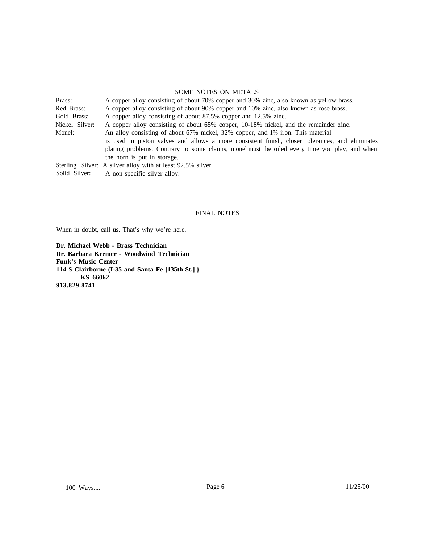#### SOME NOTES ON METALS

| Brass:         | A copper alloy consisting of about 70% copper and 30% zinc, also known as yellow brass.         |
|----------------|-------------------------------------------------------------------------------------------------|
| Red Brass:     | A copper alloy consisting of about 90% copper and 10% zinc, also known as rose brass.           |
| Gold Brass:    | A copper alloy consisting of about 87.5% copper and 12.5% zinc.                                 |
| Nickel Silver: | A copper alloy consisting of about 65% copper, 10-18% nickel, and the remainder zinc.           |
| Monel:         | An alloy consisting of about 67% nickel, 32% copper, and 1% iron. This material                 |
|                | is used in piston valves and allows a more consistent finish, closer tolerances, and eliminates |
|                | plating problems. Contrary to some claims, monel must be oiled every time you play, and when    |
|                | the horn is put in storage.                                                                     |
|                | Sterling Silver: A silver alloy with at least 92.5% silver.                                     |
| Solid Silver:  | A non-specific silver alloy.                                                                    |

#### FINAL NOTES

When in doubt, call us. That's why we're here.

**Dr. Michael Webb - Brass Technician Dr. Barbara Kremer - Woodwind Technician Funk's Music Center 114 S Clairborne (I-35 and Santa Fe [135th St.] ) KS 66062 913.829.8741**